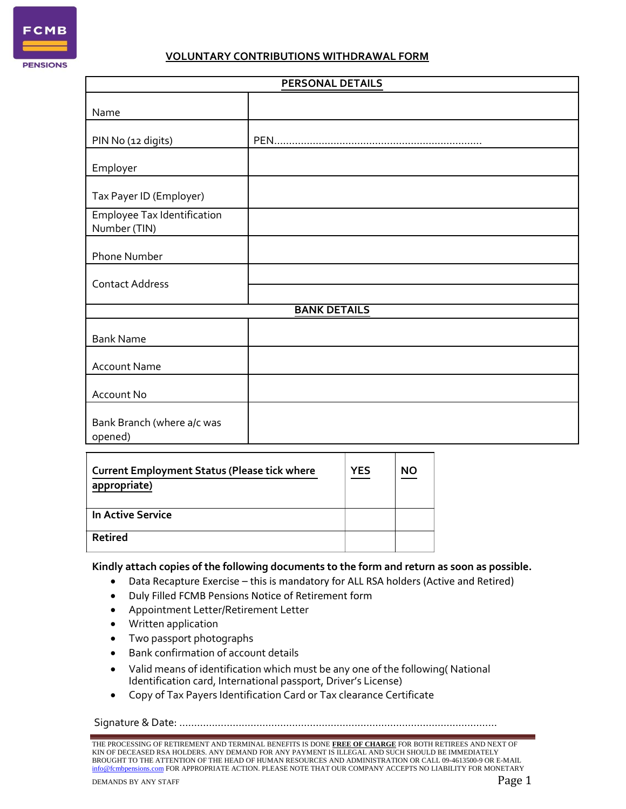

#### **VOLUNTARY CONTRIBUTIONS WITHDRAWAL FORM**

| <b>PERSONAL DETAILS</b>                            |  |  |
|----------------------------------------------------|--|--|
| Name                                               |  |  |
| PIN No (12 digits)                                 |  |  |
| Employer                                           |  |  |
| Tax Payer ID (Employer)                            |  |  |
| <b>Employee Tax Identification</b><br>Number (TIN) |  |  |
| Phone Number                                       |  |  |
| <b>Contact Address</b>                             |  |  |
| <b>BANK DETAILS</b>                                |  |  |
| <b>Bank Name</b>                                   |  |  |
| <b>Account Name</b>                                |  |  |
| Account No                                         |  |  |
| Bank Branch (where a/c was<br>opened)              |  |  |

| <b>Current Employment Status (Please tick where</b><br>appropriate) | <b>YES</b> | <b>NO</b> |  |
|---------------------------------------------------------------------|------------|-----------|--|
| In Active Service                                                   |            |           |  |
| Retired                                                             |            |           |  |

#### **Kindly attach copies of the following documents to the form and return as soon as possible.**

- Data Recapture Exercise this is mandatory for ALL RSA holders (Active and Retired)
- Duly Filled FCMB Pensions Notice of Retirement form
- Appointment Letter/Retirement Letter
- Written application
- Two passport photographs
- Bank confirmation of account details
- Valid means of identification which must be any one of the following( National Identification card, International passport, Driver's License)
- Copy of Tax Payers Identification Card or Tax clearance Certificate

Signature & Date: ……………………………………………..………………………………………………

THE PROCESSING OF RETIREMENT AND TERMINAL BENEFITS IS DONE **FREE OF CHARGE** FOR BOTH RETIREES AND NEXT OF KIN OF DECEASED RSA HOLDERS. ANY DEMAND FOR ANY PAYMENT IS ILLEGAL AND SUCH SHOULD BE IMMEDIATELY BROUGHT TO THE ATTENTION OF THE HEAD OF HUMAN RESOURCES AND ADMINISTRATION OR CALL 09-4613500-9 OR E-MAIL info@fcmbpensions.com FOR APPROPRIATE ACTION. PLEASE NOTE THAT OUR COMPANY ACCEPTS NO LIABILITY FOR MONETARY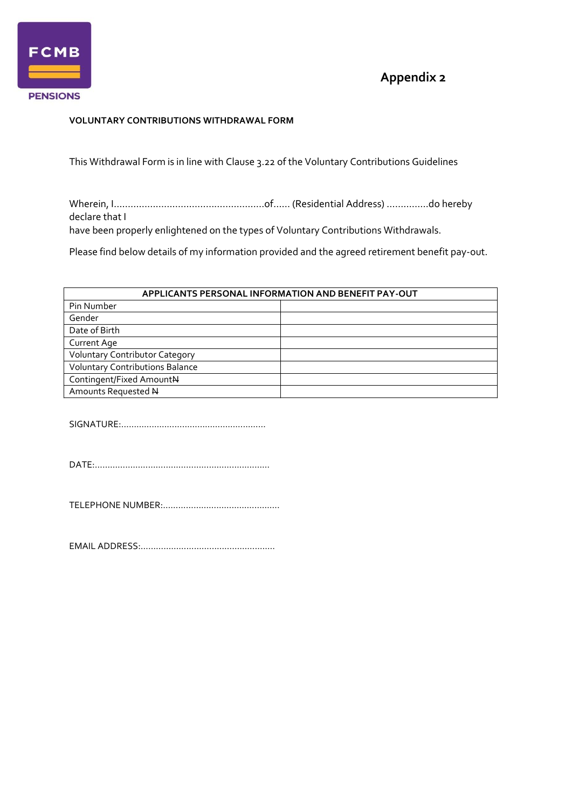

## **Appendix 2**

### **VOLUNTARY CONTRIBUTIONS WITHDRAWAL FORM**

This Withdrawal Form is in line with Clause 3.22 of the Voluntary Contributions Guidelines

Wherein, I………………………………………………of…… (Residential Address) ……………do hereby declare that I

have been properly enlightened on the types of Voluntary Contributions Withdrawals.

Please find below details of my information provided and the agreed retirement benefit pay-out.

| APPLICANTS PERSONAL INFORMATION AND BENEFIT PAY-OUT |  |  |  |
|-----------------------------------------------------|--|--|--|
| Pin Number                                          |  |  |  |
| Gender                                              |  |  |  |
| Date of Birth                                       |  |  |  |
| <b>Current Age</b>                                  |  |  |  |
| <b>Voluntary Contributor Category</b>               |  |  |  |
| <b>Voluntary Contributions Balance</b>              |  |  |  |
| Contingent/Fixed AmountN                            |  |  |  |
| Amounts Requested N                                 |  |  |  |

SIGNATURE:…………………………………………………

DATE:……………………………………………………………

TELEPHONE NUMBER:……………………………………….

EMAIL ADDRESS:……………………………………………..